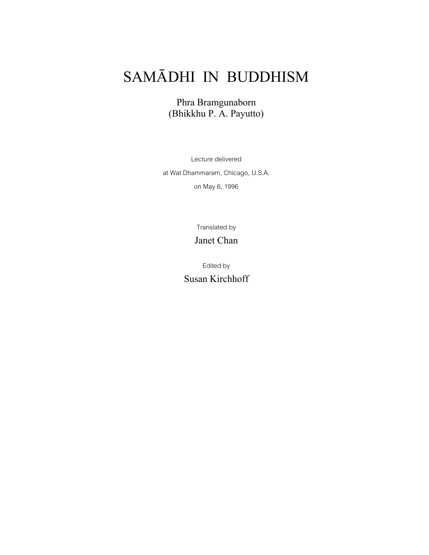# SAMĀDHI IN BUDDHISM

Phra Bramgunaborn (Bhikkhu P. A. Payutto)

Lecture delivered at Wat Dhammaram, Chicago, U.S.A. on May 6, 1996

Translated by

Janet Chan

Edited by Susan Kirchhoff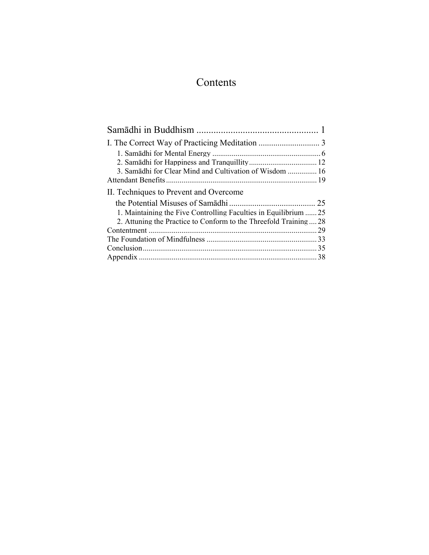## Contents

| 3. Samādhi for Clear Mind and Cultivation of Wisdom  16          |     |
|------------------------------------------------------------------|-----|
|                                                                  |     |
| II. Techniques to Prevent and Overcome                           |     |
|                                                                  |     |
| 1. Maintaining the Five Controlling Faculties in Equilibrium  25 |     |
| 2. Attuning the Practice to Conform to the Threefold Training 28 |     |
|                                                                  | .29 |
|                                                                  |     |
|                                                                  |     |
|                                                                  |     |
|                                                                  |     |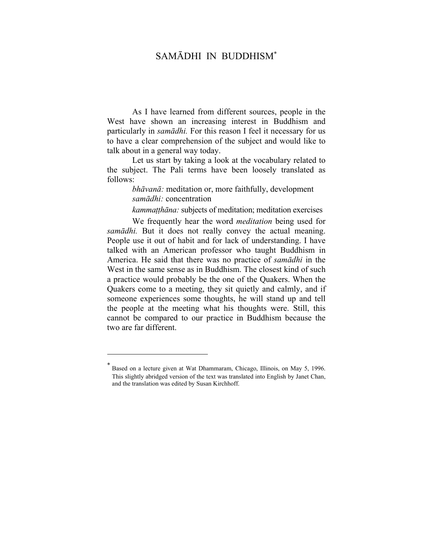### <span id="page-2-0"></span>SAMĀDHI IN BUDDHISM<sup>∗</sup>

As I have learned from different sources, people in the West have shown an increasing interest in Buddhism and particularly in *samādhi.* For this reason I feel it necessary for us to have a clear comprehension of the subject and would like to talk about in a general way today.

Let us start by taking a look at the vocabulary related to the subject. The Pali terms have been loosely translated as follows:

> *bhāvanā:* meditation or, more faithfully, development *samādhi:* concentration

*kammatthāna*: subjects of meditation; meditation exercises

We frequently hear the word *meditation* being used for *samādhi.* But it does not really convey the actual meaning. People use it out of habit and for lack of understanding. I have talked with an American professor who taught Buddhism in America. He said that there was no practice of *samādhi* in the West in the same sense as in Buddhism. The closest kind of such a practice would probably be the one of the Quakers. When the Quakers come to a meeting, they sit quietly and calmly, and if someone experiences some thoughts, he will stand up and tell the people at the meeting what his thoughts were. Still, this cannot be compared to our practice in Buddhism because the two are far different.

Based on a lecture given at Wat Dhammaram, Chicago, Illinois, on May 5, 1996. This slightly abridged version of the text was translated into English by Janet Chan, and the translation was edited by Susan Kirchhoff.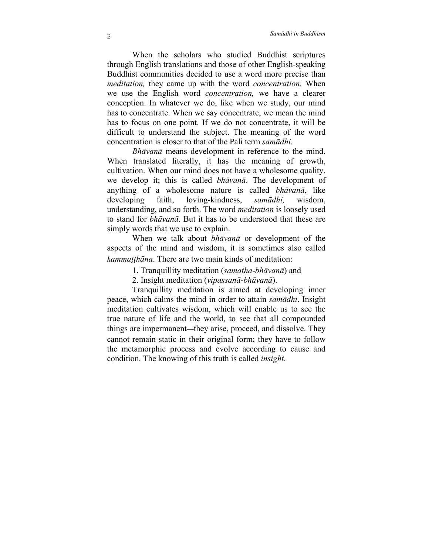When the scholars who studied Buddhist scriptures through English translations and those of other English-speaking Buddhist communities decided to use a word more precise than *meditation,* they came up with the word *concentration.* When we use the English word *concentration,* we have a clearer conception. In whatever we do, like when we study, our mind has to concentrate. When we say concentrate, we mean the mind has to focus on one point. If we do not concentrate, it will be difficult to understand the subject. The meaning of the word concentration is closer to that of the Pali term *samādhi.*

*Bhāvanā* means development in reference to the mind. When translated literally, it has the meaning of growth, cultivation. When our mind does not have a wholesome quality, we develop it; this is called *bhāvanā*. The development of anything of a wholesome nature is called *bhāvanā*, like developing faith, loving-kindness, *samādhi,* wisdom, understanding, and so forth. The word *meditation* is loosely used to stand for *bhāvanā*. But it has to be understood that these are simply words that we use to explain.

When we talk about *bhāvanā* or development of the aspects of the mind and wisdom, it is sometimes also called *kammatthāna*. There are two main kinds of meditation:

1. Tranquillity meditation (*samatha*-*bhāvanā*) and

2. Insight meditation (*vipassanā*-*bhāvanā*).

Tranquillity meditation is aimed at developing inner peace, which calms the mind in order to attain *samādhi*. Insight meditation cultivates wisdom, which will enable us to see the true nature of life and the world, to see that all compounded things are impermanent—they arise, proceed, and dissolve. They cannot remain static in their original form; they have to follow the metamorphic process and evolve according to cause and condition. The knowing of this truth is called *insight.*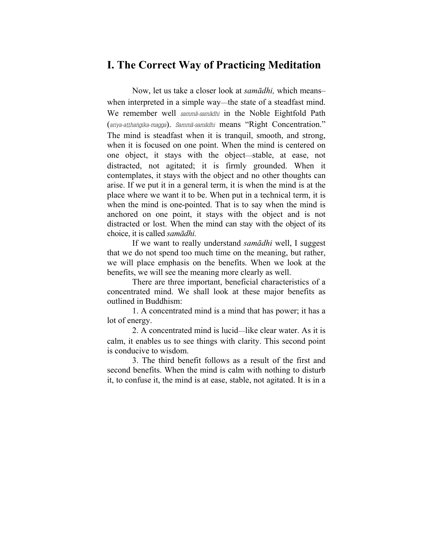### <span id="page-4-0"></span>**I. The Correct Way of Practicing Meditation**

Now, let us take a closer look at *samādhi,* which means– when interpreted in a simple way—the state of a steadfast mind. We remember well *sammā-samādhi* in the Noble Eightfold Path (*ariya-aṭṭhaṅgika-magga*). *Sammā-samādhi* means "Right Concentration." The mind is steadfast when it is tranquil, smooth, and strong, when it is focused on one point. When the mind is centered on one object, it stays with the object—stable, at ease, not distracted, not agitated; it is firmly grounded. When it contemplates, it stays with the object and no other thoughts can arise. If we put it in a general term, it is when the mind is at the place where we want it to be. When put in a technical term, it is when the mind is one-pointed. That is to say when the mind is anchored on one point, it stays with the object and is not distracted or lost. When the mind can stay with the object of its choice, it is called *samādhi.*

If we want to really understand *samādhi* well, I suggest that we do not spend too much time on the meaning, but rather, we will place emphasis on the benefits. When we look at the benefits, we will see the meaning more clearly as well.

There are three important, beneficial characteristics of a concentrated mind. We shall look at these major benefits as outlined in Buddhism:

1. A concentrated mind is a mind that has power; it has a lot of energy.

2. A concentrated mind is lucid—like clear water. As it is calm, it enables us to see things with clarity. This second point is conducive to wisdom.

3. The third benefit follows as a result of the first and second benefits. When the mind is calm with nothing to disturb it, to confuse it, the mind is at ease, stable, not agitated. It is in a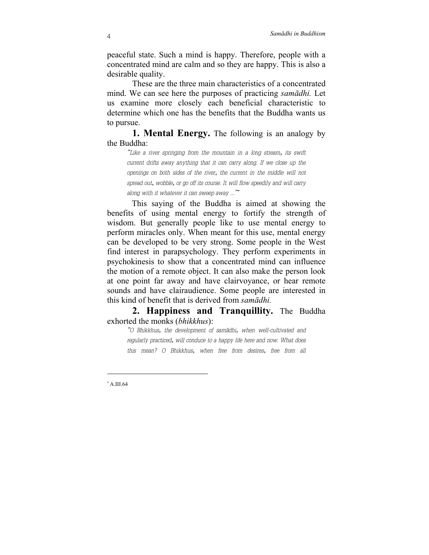peaceful state. Such a mind is happy. Therefore, people with a concentrated mind are calm and so they are happy. This is also a desirable quality.

These are the three main characteristics of a concentrated mind. We can see here the purposes of practicing *samādhi.* Let us examine more closely each beneficial characteristic to determine which one has the benefits that the Buddha wants us to pursue.

**1. Mental Energy.** The following is an analogy by the Buddha:

*"Like a river springing from the mountain in a long stream, its swift current drifts away anything that it can carry along. If we close up the openings on both sides of the river, the current in the middle will not spread out, wobble, or go off its course. It will flow speedily and will carry along with it whatever it can sweep away ..."*<sup>∗</sup>

This saying of the Buddha is aimed at showing the benefits of using mental energy to fortify the strength of wisdom. But generally people like to use mental energy to perform miracles only. When meant for this use, mental energy can be developed to be very strong. Some people in the West find interest in parapsychology. They perform experiments in psychokinesis to show that a concentrated mind can influence the motion of a remote object. It can also make the person look at one point far away and have clairvoyance, or hear remote sounds and have clairaudience. Some people are interested in this kind of benefit that is derived from *samādhi.*

**2. Happiness and Tranquillity.** The Buddha exhorted the monks (*bhikkhus*):

*"O Bhikkhus, the development of samādhi, when well-cultivated and regularly practiced, will conduce to a happy life here and now. What does this mean? O Bhikkhus, when free from desires, free from all*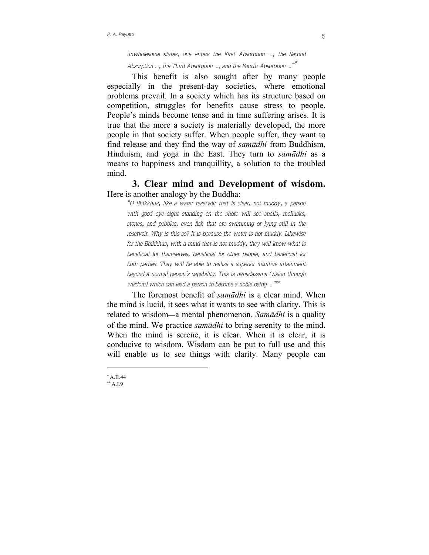*unwholesome states, one enters the First Absorption ..., the Second Absorption ..., the Third Absorption ..., and the Fourth Absorption ..."*<sup>∗</sup>

This benefit is also sought after by many people especially in the present-day societies, where emotional problems prevail. In a society which has its structure based on competition, struggles for benefits cause stress to people. People's minds become tense and in time suffering arises. It is true that the more a society is materially developed, the more people in that society suffer. When people suffer, they want to find release and they find the way of *samādhi* from Buddhism, Hinduism, and yoga in the East. They turn to *samādhi* as a means to happiness and tranquillity, a solution to the troubled mind.

**3. Clear mind and Development of wisdom.** Here is another analogy by the Buddha:

*"O Bhikkhus, like a water reservoir that is clear, not muddy, a person with good eye sight standing on the shore will see snails, mollusks, stones, and pebbles, even fish that are swimming or lying still in the reservoir. Why is this so? It is because the water is not muddy. Likewise for the Bhikkhus, with a mind that is not muddy, they will know what is beneficial for themselves, beneficial for other people, and beneficial for both parties. They will be able to realize a superior intuitive attainment beyond a normal person's capability. This is nānādassana (vision through wisdom) which can lead a person to become a noble being ..."*∗∗

The foremost benefit of *samādhi* is a clear mind. When the mind is lucid, it sees what it wants to see with clarity. This is related to wisdom—a mental phenomenon. *Samādhi* is a quality of the mind. We practice *samādhi* to bring serenity to the mind. When the mind is serene, it is clear. When it is clear, it is conducive to wisdom. Wisdom can be put to full use and this will enable us to see things with clarity. Many people can

<sup>∗</sup> A.II.44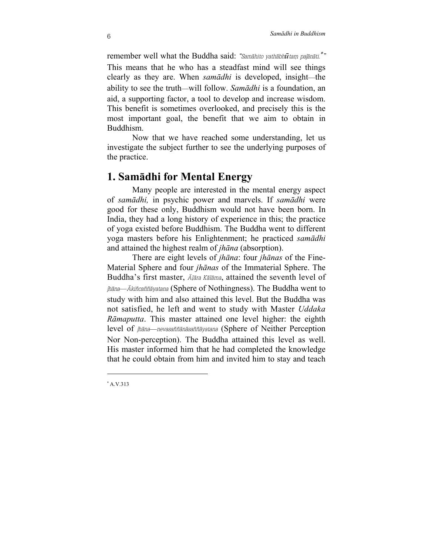<span id="page-7-0"></span>remember well what the Buddha said: *"Samāhito yathābhūtaṃ pajānāti.*<sup>∗</sup> *"* This means that he who has a steadfast mind will see things clearly as they are. When *samādhi* is developed, insight—the ability to see the truth—will follow. *Samādhi* is a foundation, an aid, a supporting factor, a tool to develop and increase wisdom. This benefit is sometimes overlooked, and precisely this is the most important goal, the benefit that we aim to obtain in Buddhism.

Now that we have reached some understanding, let us investigate the subject further to see the underlying purposes of the practice.

# **1. Samādhi for Mental Energy**

Many people are interested in the mental energy aspect of *samādhi,* in psychic power and marvels. If *samādhi* were good for these only, Buddhism would not have been born. In India, they had a long history of experience in this; the practice of yoga existed before Buddhism. The Buddha went to different yoga masters before his Enlightenment; he practiced *samādhi* and attained the highest realm of *jhāna* (absorption).

There are eight levels of *jhāna*: four *jhānas* of the Fine-Material Sphere and four *jhānas* of the Immaterial Sphere. The Buddha's first master, *Āḷāra Kālāma*, attained the seventh level of *jhāna*—*Ākiñcaññāyatana* (Sphere of Nothingness). The Buddha went to study with him and also attained this level. But the Buddha was not satisfied, he left and went to study with Master *Uddaka Rāmaputta*. This master attained one level higher: the eighth level of *jhāna*—*nevasaññānāsaññāyatana* (Sphere of Neither Perception Nor Non-perception). The Buddha attained this level as well. His master informed him that he had completed the knowledge that he could obtain from him and invited him to stay and teach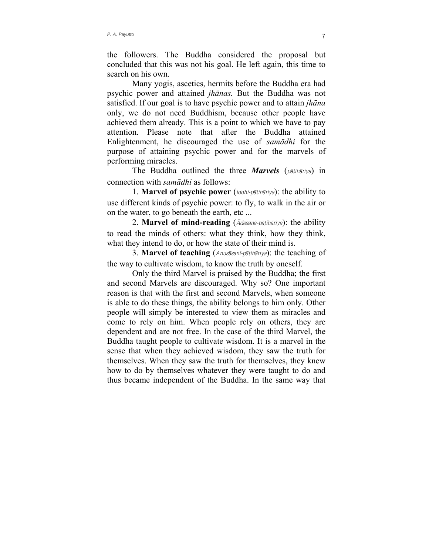the followers. The Buddha considered the proposal but concluded that this was not his goal. He left again, this time to search on his own.

Many yogis, ascetics, hermits before the Buddha era had psychic power and attained *jhānas.* But the Buddha was not satisfied. If our goal is to have psychic power and to attain *jhāna* only, we do not need Buddhism, because other people have achieved them already. This is a point to which we have to pay attention. Please note that after the Buddha attained Enlightenment, he discouraged the use of *samādhi* for the purpose of attaining psychic power and for the marvels of performing miracles.

The Buddha outlined the three *Marvels* (*pāṭihāriya*) in connection with *samādhi* as follows:

1. **Marvel of psychic power** (*Iddhi-pāṭihāriya*): the ability to use different kinds of psychic power: to fly, to walk in the air or on the water, to go beneath the earth, etc ...

2. **Marvel of mind-reading** (*Ādesanā-pāṭihāriya*): the ability to read the minds of others: what they think, how they think, what they intend to do, or how the state of their mind is.

3. **Marvel of teaching** (*Anusāsanī-pāṭihāriya*): the teaching of the way to cultivate wisdom, to know the truth by oneself.

Only the third Marvel is praised by the Buddha; the first and second Marvels are discouraged. Why so? One important reason is that with the first and second Marvels, when someone is able to do these things, the ability belongs to him only. Other people will simply be interested to view them as miracles and come to rely on him. When people rely on others, they are dependent and are not free. In the case of the third Marvel, the Buddha taught people to cultivate wisdom. It is a marvel in the sense that when they achieved wisdom, they saw the truth for themselves. When they saw the truth for themselves, they knew how to do by themselves whatever they were taught to do and thus became independent of the Buddha. In the same way that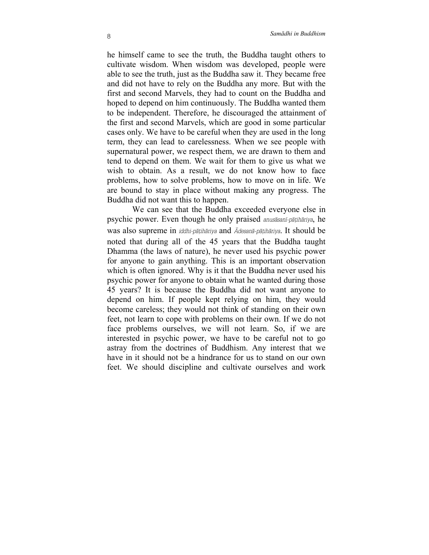he himself came to see the truth, the Buddha taught others to cultivate wisdom. When wisdom was developed, people were able to see the truth, just as the Buddha saw it. They became free and did not have to rely on the Buddha any more. But with the first and second Marvels, they had to count on the Buddha and hoped to depend on him continuously. The Buddha wanted them to be independent. Therefore, he discouraged the attainment of the first and second Marvels, which are good in some particular cases only. We have to be careful when they are used in the long term, they can lead to carelessness. When we see people with supernatural power, we respect them, we are drawn to them and tend to depend on them. We wait for them to give us what we wish to obtain. As a result, we do not know how to face problems, how to solve problems, how to move on in life. We are bound to stay in place without making any progress. The Buddha did not want this to happen.

We can see that the Buddha exceeded everyone else in psychic power. Even though he only praised *anusāsanī-pāṭihāriya*, he was also supreme in *iddhi-pāṭihāriya* and *Ādesanā-pāṭihāriya*. It should be noted that during all of the 45 years that the Buddha taught Dhamma (the laws of nature), he never used his psychic power for anyone to gain anything. This is an important observation which is often ignored. Why is it that the Buddha never used his psychic power for anyone to obtain what he wanted during those 45 years? It is because the Buddha did not want anyone to depend on him. If people kept relying on him, they would become careless; they would not think of standing on their own feet, not learn to cope with problems on their own. If we do not face problems ourselves, we will not learn. So, if we are interested in psychic power, we have to be careful not to go astray from the doctrines of Buddhism. Any interest that we have in it should not be a hindrance for us to stand on our own feet. We should discipline and cultivate ourselves and work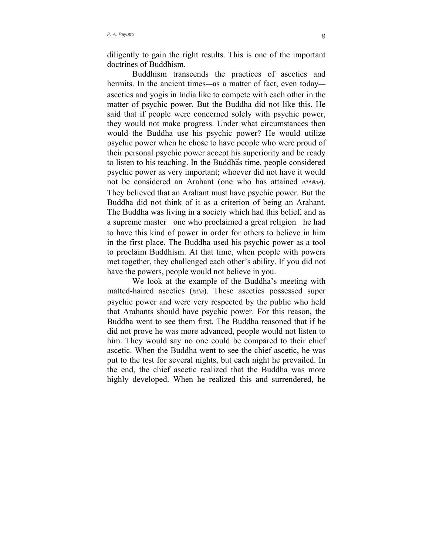diligently to gain the right results. This is one of the important doctrines of Buddhism.

Buddhism transcends the practices of ascetics and hermits. In the ancient times—as a matter of fact, even today ascetics and yogis in India like to compete with each other in the matter of psychic power. But the Buddha did not like this. He said that if people were concerned solely with psychic power, they would not make progress. Under what circumstances then would the Buddha use his psychic power? He would utilize psychic power when he chose to have people who were proud of their personal psychic power accept his superiority and be ready to listen to his teaching. In the Buddhaีs time, people considered psychic power as very important; whoever did not have it would not be considered an Arahant (one who has attained *nibbāna*). They believed that an Arahant must have psychic power. But the Buddha did not think of it as a criterion of being an Arahant. The Buddha was living in a society which had this belief, and as a supreme master—one who proclaimed a great religion—he had to have this kind of power in order for others to believe in him in the first place. The Buddha used his psychic power as a tool to proclaim Buddhism. At that time, when people with powers met together, they challenged each other's ability. If you did not have the powers, people would not believe in you.

We look at the example of the Buddha's meeting with matted-haired ascetics (*jaṭila*). These ascetics possessed super psychic power and were very respected by the public who held that Arahants should have psychic power. For this reason, the Buddha went to see them first. The Buddha reasoned that if he did not prove he was more advanced, people would not listen to him. They would say no one could be compared to their chief ascetic. When the Buddha went to see the chief ascetic, he was put to the test for several nights, but each night he prevailed. In the end, the chief ascetic realized that the Buddha was more highly developed. When he realized this and surrendered, he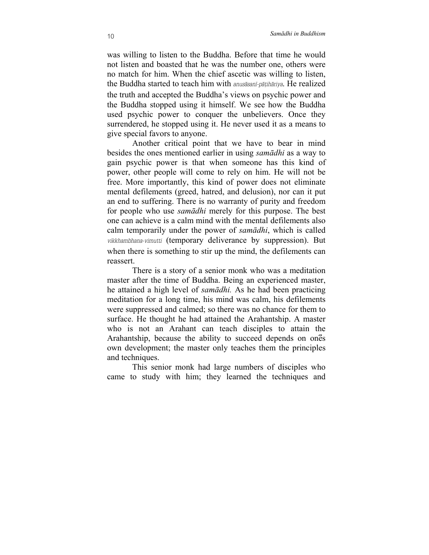was willing to listen to the Buddha. Before that time he would not listen and boasted that he was the number one, others were no match for him. When the chief ascetic was willing to listen, the Buddha started to teach him with *anusāsanī-pāṭihāriya*. He realized the truth and accepted the Buddha's views on psychic power and the Buddha stopped using it himself. We see how the Buddha used psychic power to conquer the unbelievers. Once they surrendered, he stopped using it. He never used it as a means to give special favors to anyone.

Another critical point that we have to bear in mind besides the ones mentioned earlier in using *samādhi* as a way to gain psychic power is that when someone has this kind of power, other people will come to rely on him. He will not be free. More importantly, this kind of power does not eliminate mental defilements (greed, hatred, and delusion), nor can it put an end to suffering. There is no warranty of purity and freedom for people who use *samādhi* merely for this purpose. The best one can achieve is a calm mind with the mental defilements also calm temporarily under the power of *samādhi*, which is called *vikkhambhana-vimutti* (temporary deliverance by suppression). But when there is something to stir up the mind, the defilements can reassert.

There is a story of a senior monk who was a meditation master after the time of Buddha. Being an experienced master, he attained a high level of *samādhi.* As he had been practicing meditation for a long time, his mind was calm, his defilements were suppressed and calmed; so there was no chance for them to surface. He thought he had attained the Arahantship. A master who is not an Arahant can teach disciples to attain the Arahantship, because the ability to succeed depends on ones own development; the master only teaches them the principles and techniques.

This senior monk had large numbers of disciples who came to study with him; they learned the techniques and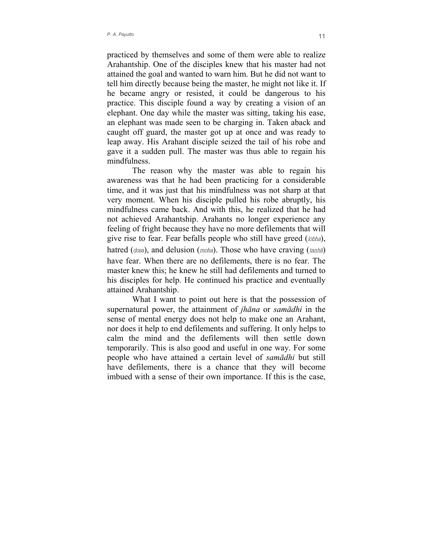practiced by themselves and some of them were able to realize Arahantship. One of the disciples knew that his master had not attained the goal and wanted to warn him. But he did not want to tell him directly because being the master, he might not like it. If he became angry or resisted, it could be dangerous to his practice. This disciple found a way by creating a vision of an elephant. One day while the master was sitting, taking his ease, an elephant was made seen to be charging in. Taken aback and caught off guard, the master got up at once and was ready to leap away. His Arahant disciple seized the tail of his robe and gave it a sudden pull. The master was thus able to regain his mindfulness.

The reason why the master was able to regain his awareness was that he had been practicing for a considerable time, and it was just that his mindfulness was not sharp at that very moment. When his disciple pulled his robe abruptly, his mindfulness came back. And with this, he realized that he had not achieved Arahantship. Arahants no longer experience any feeling of fright because they have no more defilements that will give rise to fear. Fear befalls people who still have greed (*lobha*), hatred (*dosa*), and delusion (*moha*). Those who have craving (*taṇhā*) have fear. When there are no defilements, there is no fear. The master knew this; he knew he still had defilements and turned to his disciples for help. He continued his practice and eventually attained Arahantship.

What I want to point out here is that the possession of supernatural power, the attainment of *jhāna* or *samādhi* in the sense of mental energy does not help to make one an Arahant, nor does it help to end defilements and suffering. It only helps to calm the mind and the defilements will then settle down temporarily. This is also good and useful in one way. For some people who have attained a certain level of *samādhi* but still have defilements, there is a chance that they will become imbued with a sense of their own importance. If this is the case,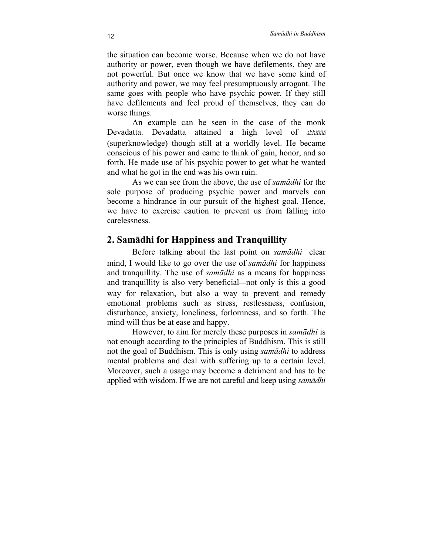<span id="page-13-0"></span>the situation can become worse. Because when we do not have authority or power, even though we have defilements, they are not powerful. But once we know that we have some kind of authority and power, we may feel presumptuously arrogant. The same goes with people who have psychic power. If they still have defilements and feel proud of themselves, they can do worse things.

An example can be seen in the case of the monk Devadatta. Devadatta attained a high level of *abhiññā* (superknowledge) though still at a worldly level. He became conscious of his power and came to think of gain, honor, and so forth. He made use of his psychic power to get what he wanted and what he got in the end was his own ruin.

As we can see from the above, the use of *samādhi* for the sole purpose of producing psychic power and marvels can become a hindrance in our pursuit of the highest goal. Hence, we have to exercise caution to prevent us from falling into carelessness.

### **2. Samādhi for Happiness and Tranquillity**

Before talking about the last point on *samādhi*—clear mind, I would like to go over the use of *samādhi* for happiness and tranquillity. The use of *samādhi* as a means for happiness and tranquillity is also very beneficial—not only is this a good way for relaxation, but also a way to prevent and remedy emotional problems such as stress, restlessness, confusion, disturbance, anxiety, loneliness, forlornness, and so forth. The mind will thus be at ease and happy.

However, to aim for merely these purposes in *samādhi* is not enough according to the principles of Buddhism. This is still not the goal of Buddhism. This is only using *samādhi* to address mental problems and deal with suffering up to a certain level. Moreover, such a usage may become a detriment and has to be applied with wisdom. If we are not careful and keep using *samādhi*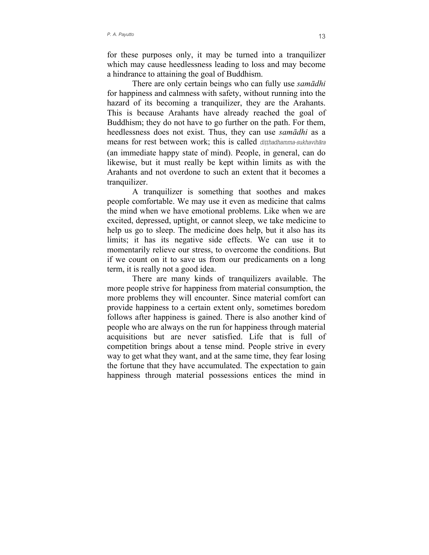for these purposes only, it may be turned into a tranquilizer which may cause heedlessness leading to loss and may become a hindrance to attaining the goal of Buddhism.

There are only certain beings who can fully use *samādhi* for happiness and calmness with safety, without running into the hazard of its becoming a tranquilizer, they are the Arahants. This is because Arahants have already reached the goal of Buddhism; they do not have to go further on the path. For them, heedlessness does not exist. Thus, they can use *samādhi* as a means for rest between work; this is called *diṭṭhadhamma-sukhavihāra* (an immediate happy state of mind). People, in general, can do likewise, but it must really be kept within limits as with the Arahants and not overdone to such an extent that it becomes a tranquilizer.

A tranquilizer is something that soothes and makes people comfortable. We may use it even as medicine that calms the mind when we have emotional problems. Like when we are excited, depressed, uptight, or cannot sleep, we take medicine to help us go to sleep. The medicine does help, but it also has its limits; it has its negative side effects. We can use it to momentarily relieve our stress, to overcome the conditions. But if we count on it to save us from our predicaments on a long term, it is really not a good idea.

There are many kinds of tranquilizers available. The more people strive for happiness from material consumption, the more problems they will encounter. Since material comfort can provide happiness to a certain extent only, sometimes boredom follows after happiness is gained. There is also another kind of people who are always on the run for happiness through material acquisitions but are never satisfied. Life that is full of competition brings about a tense mind. People strive in every way to get what they want, and at the same time, they fear losing the fortune that they have accumulated. The expectation to gain happiness through material possessions entices the mind in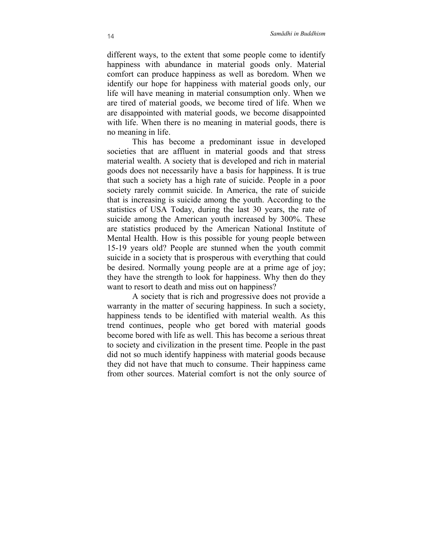different ways, to the extent that some people come to identify happiness with abundance in material goods only. Material comfort can produce happiness as well as boredom. When we identify our hope for happiness with material goods only, our life will have meaning in material consumption only. When we are tired of material goods, we become tired of life. When we are disappointed with material goods, we become disappointed with life. When there is no meaning in material goods, there is no meaning in life.

This has become a predominant issue in developed societies that are affluent in material goods and that stress material wealth. A society that is developed and rich in material goods does not necessarily have a basis for happiness. It is true that such a society has a high rate of suicide. People in a poor society rarely commit suicide. In America, the rate of suicide that is increasing is suicide among the youth. According to the statistics of USA Today, during the last 30 years, the rate of suicide among the American youth increased by 300%. These are statistics produced by the American National Institute of Mental Health. How is this possible for young people between 15-19 years old? People are stunned when the youth commit suicide in a society that is prosperous with everything that could be desired. Normally young people are at a prime age of joy; they have the strength to look for happiness. Why then do they want to resort to death and miss out on happiness?

A society that is rich and progressive does not provide a warranty in the matter of securing happiness. In such a society, happiness tends to be identified with material wealth. As this trend continues, people who get bored with material goods become bored with life as well. This has become a serious threat to society and civilization in the present time. People in the past did not so much identify happiness with material goods because they did not have that much to consume. Their happiness came from other sources. Material comfort is not the only source of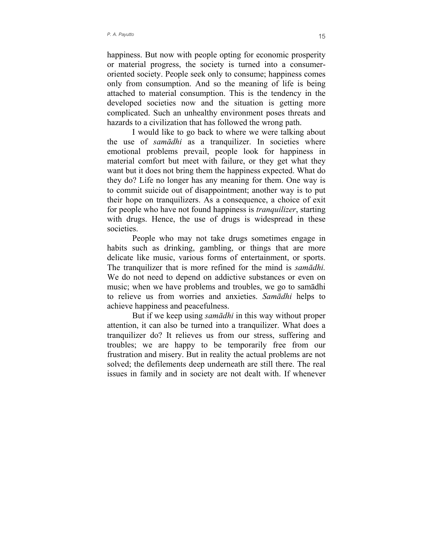happiness. But now with people opting for economic prosperity or material progress, the society is turned into a consumeroriented society. People seek only to consume; happiness comes only from consumption. And so the meaning of life is being attached to material consumption. This is the tendency in the developed societies now and the situation is getting more complicated. Such an unhealthy environment poses threats and hazards to a civilization that has followed the wrong path.

I would like to go back to where we were talking about the use of *samādhi* as a tranquilizer. In societies where emotional problems prevail, people look for happiness in material comfort but meet with failure, or they get what they want but it does not bring them the happiness expected. What do they do? Life no longer has any meaning for them. One way is to commit suicide out of disappointment; another way is to put their hope on tranquilizers. As a consequence, a choice of exit for people who have not found happiness is *tranquilizer*, starting with drugs. Hence, the use of drugs is widespread in these societies.

People who may not take drugs sometimes engage in habits such as drinking, gambling, or things that are more delicate like music, various forms of entertainment, or sports. The tranquilizer that is more refined for the mind is *samādhi.* We do not need to depend on addictive substances or even on music; when we have problems and troubles, we go to samādhi to relieve us from worries and anxieties. *Samādhi* helps to achieve happiness and peacefulness.

But if we keep using *samādhi* in this way without proper attention, it can also be turned into a tranquilizer. What does a tranquilizer do? It relieves us from our stress, suffering and troubles; we are happy to be temporarily free from our frustration and misery. But in reality the actual problems are not solved; the defilements deep underneath are still there. The real issues in family and in society are not dealt with. If whenever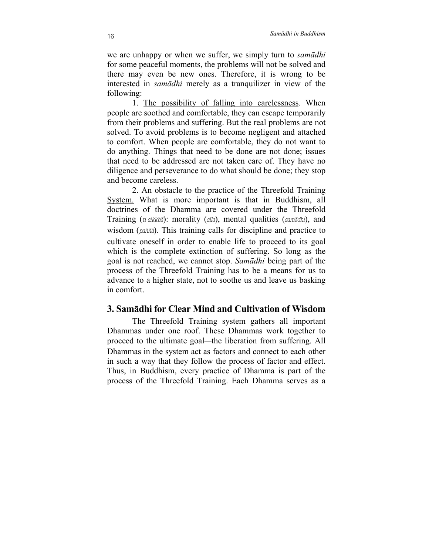<span id="page-17-0"></span>we are unhappy or when we suffer, we simply turn to *samādhi* for some peaceful moments, the problems will not be solved and there may even be new ones. Therefore, it is wrong to be interested in *samādhi* merely as a tranquilizer in view of the following:

1. The possibility of falling into carelessness. When people are soothed and comfortable, they can escape temporarily from their problems and suffering. But the real problems are not solved. To avoid problems is to become negligent and attached to comfort. When people are comfortable, they do not want to do anything. Things that need to be done are not done; issues that need to be addressed are not taken care of. They have no diligence and perseverance to do what should be done; they stop and become careless.

2. An obstacle to the practice of the Threefold Training System. What is more important is that in Buddhism, all doctrines of the Dhamma are covered under the Threefold Training (*ti-sikkhā*): morality (*sīla*), mental qualities (*samādhi*), and wisdom (*paññā*). This training calls for discipline and practice to cultivate oneself in order to enable life to proceed to its goal which is the complete extinction of suffering. So long as the goal is not reached, we cannot stop. *Samādhi* being part of the process of the Threefold Training has to be a means for us to advance to a higher state, not to soothe us and leave us basking in comfort.

#### **3. Samādhi for Clear Mind and Cultivation of Wisdom**

The Threefold Training system gathers all important Dhammas under one roof. These Dhammas work together to proceed to the ultimate goal—the liberation from suffering. All Dhammas in the system act as factors and connect to each other in such a way that they follow the process of factor and effect. Thus, in Buddhism, every practice of Dhamma is part of the process of the Threefold Training. Each Dhamma serves as a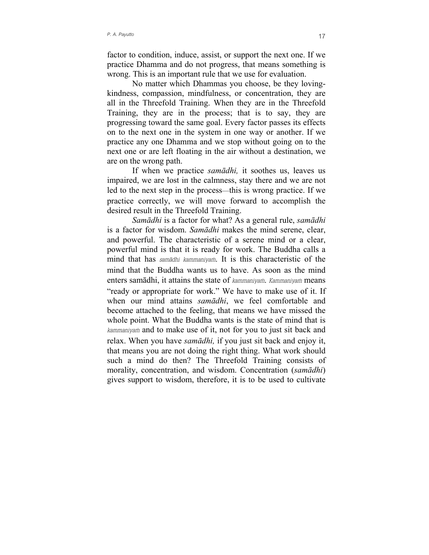factor to condition, induce, assist, or support the next one. If we practice Dhamma and do not progress, that means something is wrong. This is an important rule that we use for evaluation.

No matter which Dhammas you choose, be they lovingkindness, compassion, mindfulness, or concentration, they are all in the Threefold Training. When they are in the Threefold Training, they are in the process; that is to say, they are progressing toward the same goal. Every factor passes its effects on to the next one in the system in one way or another. If we practice any one Dhamma and we stop without going on to the next one or are left floating in the air without a destination, we are on the wrong path.

If when we practice *samādhi,* it soothes us, leaves us impaired, we are lost in the calmness, stay there and we are not led to the next step in the process—this is wrong practice. If we practice correctly, we will move forward to accomplish the desired result in the Threefold Training.

*Samādhi* is a factor for what? As a general rule, *samādhi* is a factor for wisdom. *Samādhi* makes the mind serene, clear, and powerful. The characteristic of a serene mind or a clear, powerful mind is that it is ready for work. The Buddha calls a mind that has *samādhi kammaniyaṁ*. It is this characteristic of the mind that the Buddha wants us to have. As soon as the mind enters samādhi, it attains the state of *kammaniyaṁ*. *Kammaniyaṁ* means "ready or appropriate for work." We have to make use of it. If when our mind attains *samādhi*, we feel comfortable and become attached to the feeling, that means we have missed the whole point. What the Buddha wants is the state of mind that is *kammaniyaṁ* and to make use of it, not for you to just sit back and relax. When you have *samādhi,* if you just sit back and enjoy it, that means you are not doing the right thing. What work should such a mind do then? The Threefold Training consists of morality, concentration, and wisdom. Concentration (*samādhi*) gives support to wisdom, therefore, it is to be used to cultivate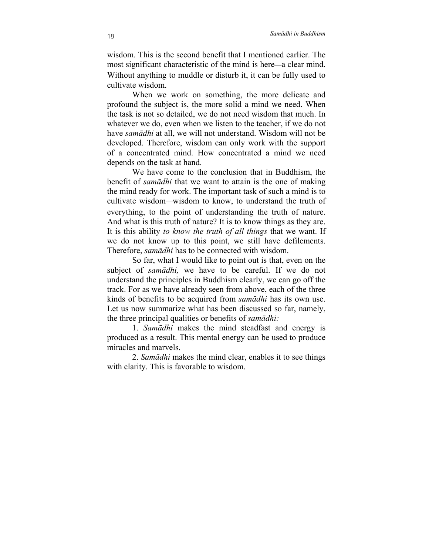wisdom. This is the second benefit that I mentioned earlier. The most significant characteristic of the mind is here—a clear mind. Without anything to muddle or disturb it, it can be fully used to cultivate wisdom.

When we work on something, the more delicate and profound the subject is, the more solid a mind we need. When the task is not so detailed, we do not need wisdom that much. In whatever we do, even when we listen to the teacher, if we do not have *samādhi* at all, we will not understand. Wisdom will not be developed. Therefore, wisdom can only work with the support of a concentrated mind. How concentrated a mind we need depends on the task at hand.

We have come to the conclusion that in Buddhism, the benefit of *samādhi* that we want to attain is the one of making the mind ready for work. The important task of such a mind is to cultivate wisdom—wisdom to know, to understand the truth of everything, to the point of understanding the truth of nature. And what is this truth of nature? It is to know things as they are. It is this ability *to know the truth of all things* that we want. If we do not know up to this point, we still have defilements. Therefore, *samādhi* has to be connected with wisdom.

So far, what I would like to point out is that, even on the subject of *samādhi,* we have to be careful. If we do not understand the principles in Buddhism clearly, we can go off the track. For as we have already seen from above, each of the three kinds of benefits to be acquired from *samādhi* has its own use. Let us now summarize what has been discussed so far, namely, the three principal qualities or benefits of *samādhi:*

1. *Samādhi* makes the mind steadfast and energy is produced as a result. This mental energy can be used to produce miracles and marvels.

2. *Samādhi* makes the mind clear, enables it to see things with clarity. This is favorable to wisdom.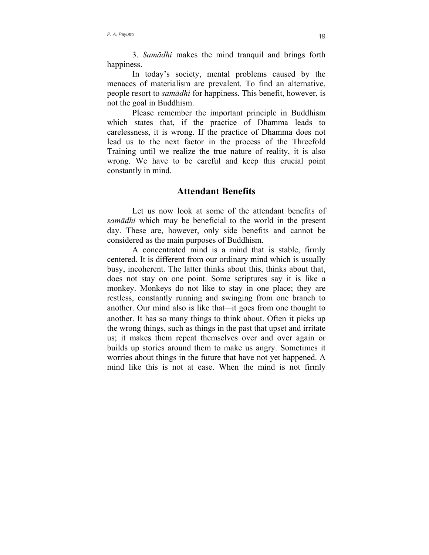<span id="page-20-0"></span>3. *Samādhi* makes the mind tranquil and brings forth happiness.

In today's society, mental problems caused by the menaces of materialism are prevalent. To find an alternative, people resort to *samādhi* for happiness. This benefit, however, is not the goal in Buddhism.

Please remember the important principle in Buddhism which states that, if the practice of Dhamma leads to carelessness, it is wrong. If the practice of Dhamma does not lead us to the next factor in the process of the Threefold Training until we realize the true nature of reality, it is also wrong. We have to be careful and keep this crucial point constantly in mind.

#### **Attendant Benefits**

Let us now look at some of the attendant benefits of *samādhi* which may be beneficial to the world in the present day. These are, however, only side benefits and cannot be considered as the main purposes of Buddhism.

A concentrated mind is a mind that is stable, firmly centered. It is different from our ordinary mind which is usually busy, incoherent. The latter thinks about this, thinks about that, does not stay on one point. Some scriptures say it is like a monkey. Monkeys do not like to stay in one place; they are restless, constantly running and swinging from one branch to another. Our mind also is like that—it goes from one thought to another. It has so many things to think about. Often it picks up the wrong things, such as things in the past that upset and irritate us; it makes them repeat themselves over and over again or builds up stories around them to make us angry. Sometimes it worries about things in the future that have not yet happened. A mind like this is not at ease. When the mind is not firmly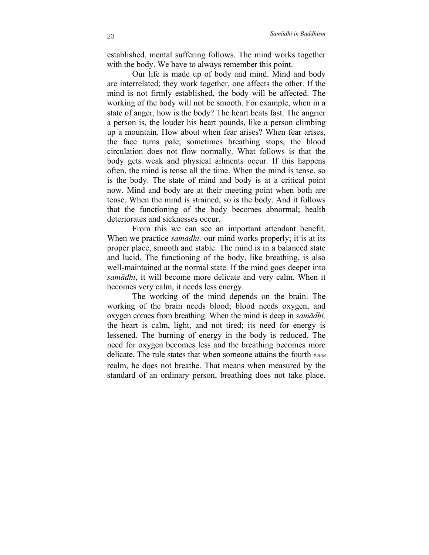established, mental suffering follows. The mind works together with the body. We have to always remember this point.

Our life is made up of body and mind. Mind and body are interrelated; they work together, one affects the other. If the mind is not firmly established, the body will be affected. The working of the body will not be smooth. For example, when in a state of anger, how is the body? The heart beats fast. The angrier a person is, the louder his heart pounds, like a person climbing up a mountain. How about when fear arises? When fear arises, the face turns pale; sometimes breathing stops, the blood circulation does not flow normally. What follows is that the body gets weak and physical ailments occur. If this happens often, the mind is tense all the time. When the mind is tense, so is the body. The state of mind and body is at a critical point now. Mind and body are at their meeting point when both are tense. When the mind is strained, so is the body. And it follows that the functioning of the body becomes abnormal; health deteriorates and sicknesses occur.

From this we can see an important attendant benefit. When we practice *samādhi,* our mind works properly; it is at its proper place, smooth and stable. The mind is in a balanced state and lucid. The functioning of the body, like breathing, is also well-maintained at the normal state. If the mind goes deeper into *samādhi*, it will become more delicate and very calm. When it becomes very calm, it needs less energy.

The working of the mind depends on the brain. The working of the brain needs blood; blood needs oxygen, and oxygen comes from breathing. When the mind is deep in *samādhi,* the heart is calm, light, and not tired; its need for energy is lessened. The burning of energy in the body is reduced. The need for oxygen becomes less and the breathing becomes more delicate. The rule states that when someone attains the fourth *jhāna* realm, he does not breathe. That means when measured by the standard of an ordinary person, breathing does not take place.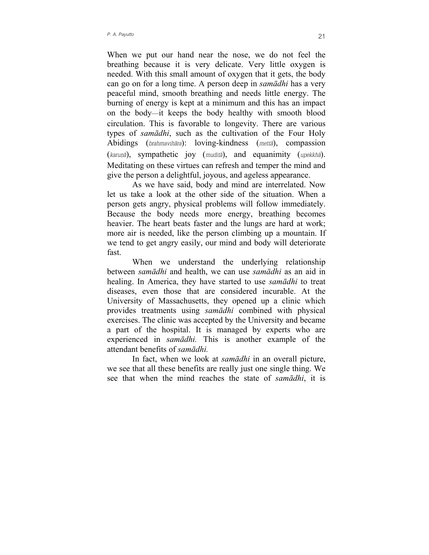When we put our hand near the nose, we do not feel the breathing because it is very delicate. Very little oxygen is needed. With this small amount of oxygen that it gets, the body can go on for a long time. A person deep in *samādhi* has a very peaceful mind, smooth breathing and needs little energy. The burning of energy is kept at a minimum and this has an impact on the body—it keeps the body healthy with smooth blood circulation. This is favorable to longevity. There are various types of *samādhi*, such as the cultivation of the Four Holy Abidings (*brahmavihāra*): loving-kindness (*mettā*), compassion (*karuṇā*), sympathetic joy (*muditā*), and equanimity (*upekkhā*). Meditating on these virtues can refresh and temper the mind and give the person a delightful, joyous, and ageless appearance.

As we have said, body and mind are interrelated. Now let us take a look at the other side of the situation. When a person gets angry, physical problems will follow immediately. Because the body needs more energy, breathing becomes heavier. The heart beats faster and the lungs are hard at work; more air is needed, like the person climbing up a mountain. If we tend to get angry easily, our mind and body will deteriorate fast.

When we understand the underlying relationship between *samādhi* and health, we can use *samādhi* as an aid in healing. In America, they have started to use *samādhi* to treat diseases, even those that are considered incurable. At the University of Massachusetts, they opened up a clinic which provides treatments using *samādhi* combined with physical exercises. The clinic was accepted by the University and became a part of the hospital. It is managed by experts who are experienced in *samādhi.* This is another example of the attendant benefits of *samādhi.*

In fact, when we look at *samādhi* in an overall picture, we see that all these benefits are really just one single thing. We see that when the mind reaches the state of *samādhi*, it is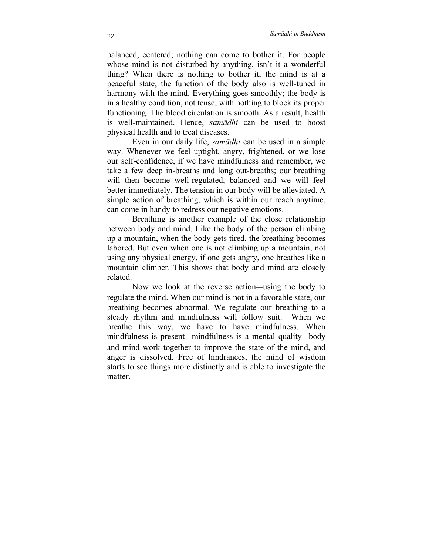balanced, centered; nothing can come to bother it. For people whose mind is not disturbed by anything, isn't it a wonderful thing? When there is nothing to bother it, the mind is at a peaceful state; the function of the body also is well-tuned in harmony with the mind. Everything goes smoothly; the body is in a healthy condition, not tense, with nothing to block its proper functioning. The blood circulation is smooth. As a result, health is well-maintained. Hence, *samādhi* can be used to boost physical health and to treat diseases.

Even in our daily life, *samādhi* can be used in a simple way. Whenever we feel uptight, angry, frightened, or we lose our self-confidence, if we have mindfulness and remember, we take a few deep in-breaths and long out-breaths; our breathing will then become well-regulated, balanced and we will feel better immediately. The tension in our body will be alleviated. A simple action of breathing, which is within our reach anytime, can come in handy to redress our negative emotions.

Breathing is another example of the close relationship between body and mind. Like the body of the person climbing up a mountain, when the body gets tired, the breathing becomes labored. But even when one is not climbing up a mountain, not using any physical energy, if one gets angry, one breathes like a mountain climber. This shows that body and mind are closely related.

Now we look at the reverse action—using the body to regulate the mind. When our mind is not in a favorable state, our breathing becomes abnormal. We regulate our breathing to a steady rhythm and mindfulness will follow suit. When we breathe this way, we have to have mindfulness. When mindfulness is present—mindfulness is a mental quality—body and mind work together to improve the state of the mind, and anger is dissolved. Free of hindrances, the mind of wisdom starts to see things more distinctly and is able to investigate the matter.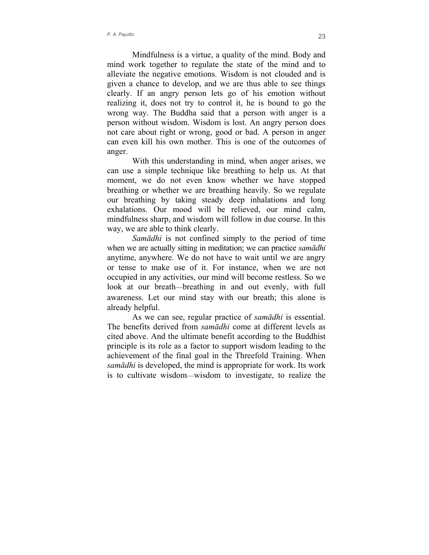Mindfulness is a virtue, a quality of the mind. Body and mind work together to regulate the state of the mind and to alleviate the negative emotions. Wisdom is not clouded and is given a chance to develop, and we are thus able to see things clearly. If an angry person lets go of his emotion without realizing it, does not try to control it, he is bound to go the wrong way. The Buddha said that a person with anger is a person without wisdom. Wisdom is lost. An angry person does not care about right or wrong, good or bad. A person in anger can even kill his own mother. This is one of the outcomes of anger.

With this understanding in mind, when anger arises, we can use a simple technique like breathing to help us. At that moment, we do not even know whether we have stopped breathing or whether we are breathing heavily. So we regulate our breathing by taking steady deep inhalations and long exhalations. Our mood will be relieved, our mind calm, mindfulness sharp, and wisdom will follow in due course. In this way, we are able to think clearly.

*Samādhi* is not confined simply to the period of time when we are actually sitting in meditation; we can practice *samādhi* anytime, anywhere. We do not have to wait until we are angry or tense to make use of it. For instance, when we are not occupied in any activities, our mind will become restless. So we look at our breath—breathing in and out evenly, with full awareness. Let our mind stay with our breath; this alone is already helpful.

As we can see, regular practice of *samādhi* is essential. The benefits derived from *samādhi* come at different levels as cited above. And the ultimate benefit according to the Buddhist principle is its role as a factor to support wisdom leading to the achievement of the final goal in the Threefold Training. When *samādhi* is developed, the mind is appropriate for work. Its work is to cultivate wisdom—wisdom to investigate, to realize the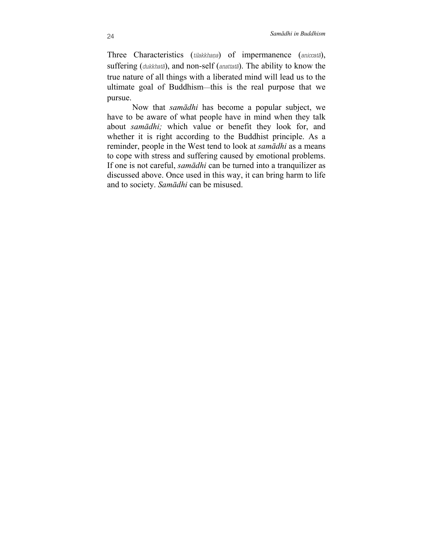Three Characteristics (*tilakkhaṇa*) of impermanence (*aniccatā*), suffering (*dukkhatā*), and non-self (*anattatā*). The ability to know the true nature of all things with a liberated mind will lead us to the ultimate goal of Buddhism—this is the real purpose that we pursue.

Now that *samādhi* has become a popular subject, we have to be aware of what people have in mind when they talk about *samādhi;* which value or benefit they look for, and whether it is right according to the Buddhist principle. As a reminder, people in the West tend to look at *samādhi* as a means to cope with stress and suffering caused by emotional problems. If one is not careful, *samādhi* can be turned into a tranquilizer as discussed above. Once used in this way, it can bring harm to life and to society. *Samādhi* can be misused.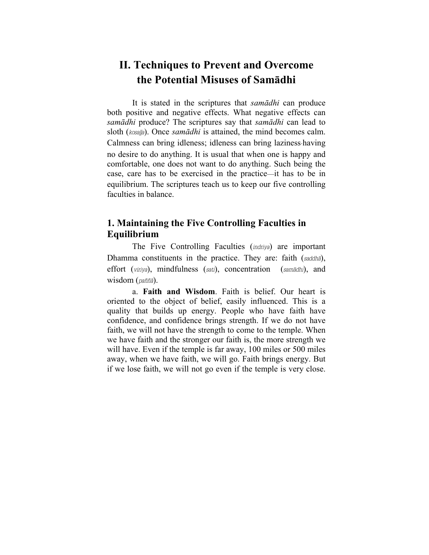# <span id="page-26-0"></span>**II. Techniques to Prevent and Overcome the Potential Misuses of Samādhi**

It is stated in the scriptures that *samādhi* can produce both positive and negative effects. What negative effects can *samādhi* produce? The scriptures say that *samādhi* can lead to sloth (*kosajja*). Once *samādhi* is attained, the mind becomes calm. Calmness can bring idleness; idleness can bring laziness-having no desire to do anything. It is usual that when one is happy and comfortable, one does not want to do anything. Such being the case, care has to be exercised in the practice—it has to be in equilibrium. The scriptures teach us to keep our five controlling faculties in balance.

### **1. Maintaining the Five Controlling Faculties in Equilibrium**

The Five Controlling Faculties (*indriya*) are important Dhamma constituents in the practice. They are: faith (*saddhā*), effort (*viriya*), mindfulness (*sati*), concentration (*samādhi*), and wisdom (*paññā*).

a. **Faith and Wisdom**. Faith is belief. Our heart is oriented to the object of belief, easily influenced. This is a quality that builds up energy. People who have faith have confidence, and confidence brings strength. If we do not have faith, we will not have the strength to come to the temple. When we have faith and the stronger our faith is, the more strength we will have. Even if the temple is far away, 100 miles or 500 miles away, when we have faith, we will go. Faith brings energy. But if we lose faith, we will not go even if the temple is very close.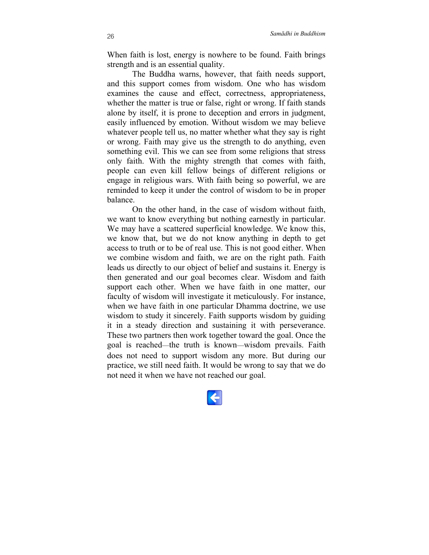When faith is lost, energy is nowhere to be found. Faith brings strength and is an essential quality.

The Buddha warns, however, that faith needs support, and this support comes from wisdom. One who has wisdom examines the cause and effect, correctness, appropriateness, whether the matter is true or false, right or wrong. If faith stands alone by itself, it is prone to deception and errors in judgment, easily influenced by emotion. Without wisdom we may believe whatever people tell us, no matter whether what they say is right or wrong. Faith may give us the strength to do anything, even something evil. This we can see from some religions that stress only faith. With the mighty strength that comes with faith, people can even kill fellow beings of different religions or engage in religious wars. With faith being so powerful, we are reminded to keep it under the control of wisdom to be in proper balance.

On the other hand, in the case of wisdom without faith, we want to know everything but nothing earnestly in particular. We may have a scattered superficial knowledge. We know this, we know that, but we do not know anything in depth to get access to truth or to be of real use. This is not good either. When we combine wisdom and faith, we are on the right path. Faith leads us directly to our object of belief and sustains it. Energy is then generated and our goal becomes clear. Wisdom and faith support each other. When we have faith in one matter, our faculty of wisdom will investigate it meticulously. For instance, when we have faith in one particular Dhamma doctrine, we use wisdom to study it sincerely. Faith supports wisdom by guiding it in a steady direction and sustaining it with perseverance. These two partners then work together toward the goal. Once the goal is reached—the truth is known—wisdom prevails. Faith does not need to support wisdom any more. But during our practice, we still need faith. It would be wrong to say that we do not need it when we have not reached our goal.

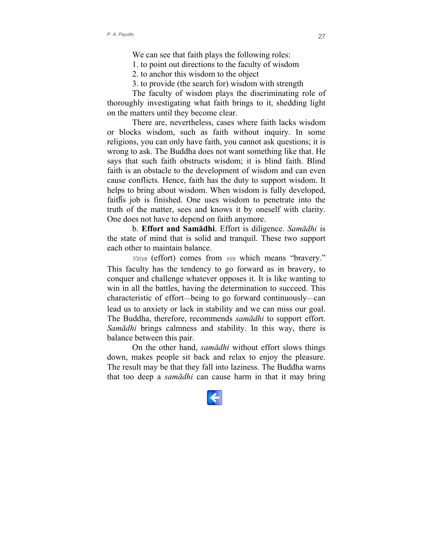We can see that faith plays the following roles:

1. to point out directions to the faculty of wisdom

2. to anchor this wisdom to the object

3. to provide (the search for) wisdom with strength

The faculty of wisdom plays the discriminating role of thoroughly investigating what faith brings to it, shedding light on the matters until they become clear.

There are, nevertheless, cases where faith lacks wisdom or blocks wisdom, such as faith without inquiry. In some religions, you can only have faith, you cannot ask questions; it is wrong to ask. The Buddha does not want something like that. He says that such faith obstructs wisdom; it is blind faith. Blind faith is an obstacle to the development of wisdom and can even cause conflicts. Hence, faith has the duty to support wisdom. It helps to bring about wisdom. When wisdom is fully developed, faithีs job is finished. One uses wisdom to penetrate into the truth of the matter, sees and knows it by oneself with clarity. One does not have to depend on faith anymore.

b. **Effort and Samādhi**. Effort is diligence. *Samādhi* is the state of mind that is solid and tranquil. These two support each other to maintain balance.

*Viriya* (effort) comes from *vira* which means "bravery." This faculty has the tendency to go forward as in bravery, to conquer and challenge whatever opposes it. It is like wanting to win in all the battles, having the determination to succeed. This characteristic of effort—being to go forward continuously—can lead us to anxiety or lack in stability and we can miss our goal. The Buddha, therefore, recommends *samādhi* to support effort. *Samādhi* brings calmness and stability. In this way, there is balance between this pair.

On the other hand, *samādhi* without effort slows things down, makes people sit back and relax to enjoy the pleasure. The result may be that they fall into laziness. The Buddha warns that too deep a *samādhi* can cause harm in that it may bring

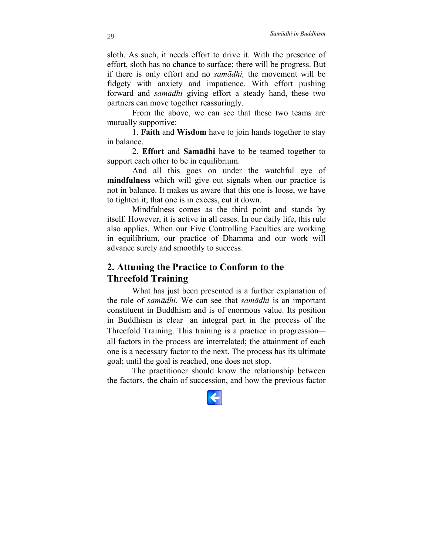<span id="page-29-0"></span>sloth. As such, it needs effort to drive it. With the presence of effort, sloth has no chance to surface; there will be progress. But if there is only effort and no *samādhi,* the movement will be fidgety with anxiety and impatience. With effort pushing forward and *samādhi* giving effort a steady hand, these two partners can move together reassuringly.

From the above, we can see that these two teams are mutually supportive:

1. **Faith** and **Wisdom** have to join hands together to stay in balance.

2. **Effort** and **Samādhi** have to be teamed together to support each other to be in equilibrium.

And all this goes on under the watchful eye of **mindfulness** which will give out signals when our practice is not in balance. It makes us aware that this one is loose, we have to tighten it; that one is in excess, cut it down.

Mindfulness comes as the third point and stands by itself. However, it is active in all cases. In our daily life, this rule also applies. When our Five Controlling Faculties are working in equilibrium, our practice of Dhamma and our work will advance surely and smoothly to success.

### **2. Attuning the Practice to Conform to the Threefold Training**

What has just been presented is a further explanation of the role of *samādhi.* We can see that *samādhi* is an important constituent in Buddhism and is of enormous value. Its position in Buddhism is clear—an integral part in the process of the Threefold Training. This training is a practice in progression all factors in the process are interrelated; the attainment of each one is a necessary factor to the next. The process has its ultimate goal; until the goal is reached, one does not stop.

The practitioner should know the relationship between the factors, the chain of succession, and how the previous factor

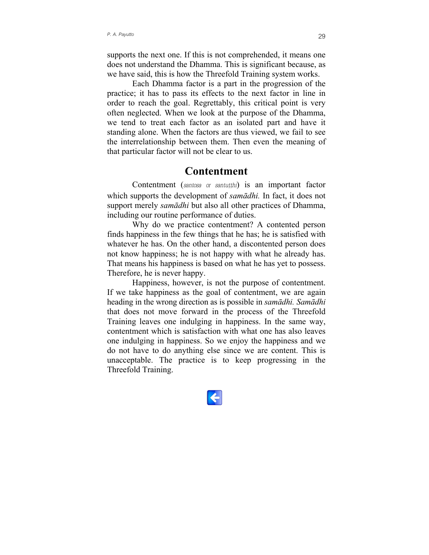<span id="page-30-0"></span>supports the next one. If this is not comprehended, it means one does not understand the Dhamma. This is significant because, as we have said, this is how the Threefold Training system works.

Each Dhamma factor is a part in the progression of the practice; it has to pass its effects to the next factor in line in order to reach the goal. Regrettably, this critical point is very often neglected. When we look at the purpose of the Dhamma, we tend to treat each factor as an isolated part and have it standing alone. When the factors are thus viewed, we fail to see the interrelationship between them. Then even the meaning of that particular factor will not be clear to us.

### **Contentment**

Contentment (santosa or santutthi) is an important factor which supports the development of *samādhi.* In fact, it does not support merely *samādhi* but also all other practices of Dhamma, including our routine performance of duties.

Why do we practice contentment? A contented person finds happiness in the few things that he has; he is satisfied with whatever he has. On the other hand, a discontented person does not know happiness; he is not happy with what he already has. That means his happiness is based on what he has yet to possess. Therefore, he is never happy.

Happiness, however, is not the purpose of contentment. If we take happiness as the goal of contentment, we are again heading in the wrong direction as is possible in *samādhi. Samādhi* that does not move forward in the process of the Threefold Training leaves one indulging in happiness. In the same way, contentment which is satisfaction with what one has also leaves one indulging in happiness. So we enjoy the happiness and we do not have to do anything else since we are content. This is unacceptable. The practice is to keep progressing in the Threefold Training.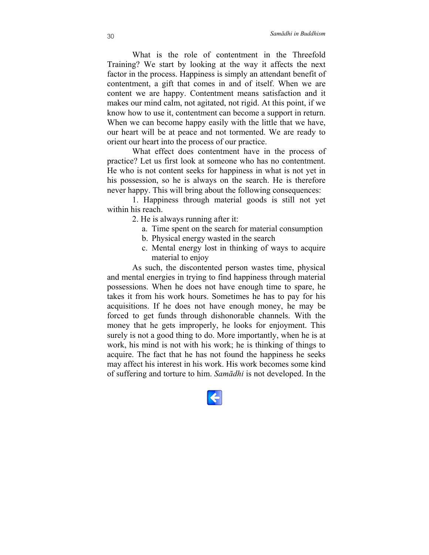What is the role of contentment in the Threefold Training? We start by looking at the way it affects the next factor in the process. Happiness is simply an attendant benefit of contentment, a gift that comes in and of itself. When we are content we are happy. Contentment means satisfaction and it makes our mind calm, not agitated, not rigid. At this point, if we know how to use it, contentment can become a support in return. When we can become happy easily with the little that we have, our heart will be at peace and not tormented. We are ready to orient our heart into the process of our practice.

What effect does contentment have in the process of practice? Let us first look at someone who has no contentment. He who is not content seeks for happiness in what is not yet in his possession, so he is always on the search. He is therefore never happy. This will bring about the following consequences:

1. Happiness through material goods is still not yet within his reach.

2. He is always running after it:

- a. Time spent on the search for material consumption
- b. Physical energy wasted in the search
- c. Mental energy lost in thinking of ways to acquire material to enjoy

As such, the discontented person wastes time, physical and mental energies in trying to find happiness through material possessions. When he does not have enough time to spare, he takes it from his work hours. Sometimes he has to pay for his acquisitions. If he does not have enough money, he may be forced to get funds through dishonorable channels. With the money that he gets improperly, he looks for enjoyment. This surely is not a good thing to do. More importantly, when he is at work, his mind is not with his work; he is thinking of things to acquire. The fact that he has not found the happiness he seeks may affect his interest in his work. His work becomes some kind of suffering and torture to him. *Samādhi* is not developed. In the

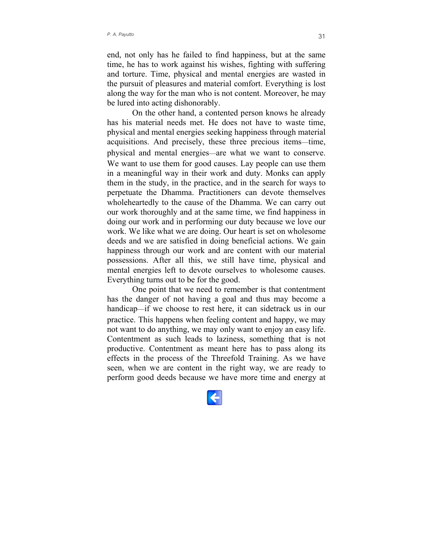end, not only has he failed to find happiness, but at the same time, he has to work against his wishes, fighting with suffering and torture. Time, physical and mental energies are wasted in the pursuit of pleasures and material comfort. Everything is lost along the way for the man who is not content. Moreover, he may be lured into acting dishonorably.

On the other hand, a contented person knows he already has his material needs met. He does not have to waste time. physical and mental energies seeking happiness through material acquisitions. And precisely, these three precious items—time, physical and mental energies—are what we want to conserve. We want to use them for good causes. Lay people can use them in a meaningful way in their work and duty. Monks can apply them in the study, in the practice, and in the search for ways to perpetuate the Dhamma. Practitioners can devote themselves wholeheartedly to the cause of the Dhamma. We can carry out our work thoroughly and at the same time, we find happiness in doing our work and in performing our duty because we love our work. We like what we are doing. Our heart is set on wholesome deeds and we are satisfied in doing beneficial actions. We gain happiness through our work and are content with our material possessions. After all this, we still have time, physical and mental energies left to devote ourselves to wholesome causes. Everything turns out to be for the good.

One point that we need to remember is that contentment has the danger of not having a goal and thus may become a handicap—if we choose to rest here, it can sidetrack us in our practice. This happens when feeling content and happy, we may not want to do anything, we may only want to enjoy an easy life. Contentment as such leads to laziness, something that is not productive. Contentment as meant here has to pass along its effects in the process of the Threefold Training. As we have seen, when we are content in the right way, we are ready to perform good deeds because we have more time and energy at

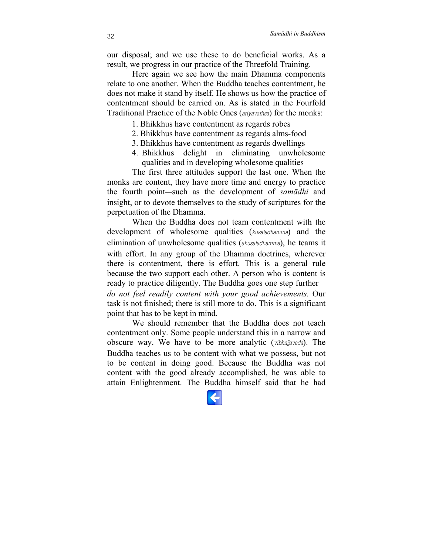our disposal; and we use these to do beneficial works. As a result, we progress in our practice of the Threefold Training.

Here again we see how the main Dhamma components relate to one another. When the Buddha teaches contentment, he does not make it stand by itself. He shows us how the practice of contentment should be carried on. As is stated in the Fourfold Traditional Practice of the Noble Ones (*ariyavaṁsa*) for the monks:

- 1. Bhikkhus have contentment as regards robes
- 2. Bhikkhus have contentment as regards alms-food
- 3. Bhikkhus have contentment as regards dwellings
- 4. Bhikkhus delight in eliminating unwholesome qualities and in developing wholesome qualities

The first three attitudes support the last one. When the monks are content, they have more time and energy to practice the fourth point—such as the development of *samādhi* and insight, or to devote themselves to the study of scriptures for the perpetuation of the Dhamma.

When the Buddha does not team contentment with the development of wholesome qualities (*kusaladhamma*) and the elimination of unwholesome qualities (*akusaladhamma*), he teams it with effort. In any group of the Dhamma doctrines, wherever there is contentment, there is effort. This is a general rule because the two support each other. A person who is content is ready to practice diligently. The Buddha goes one step further *do not feel readily content with your good achievements.* Our task is not finished; there is still more to do. This is a significant point that has to be kept in mind.

We should remember that the Buddha does not teach contentment only. Some people understand this in a narrow and obscure way. We have to be more analytic (*vibhajjavāda*). The Buddha teaches us to be content with what we possess, but not to be content in doing good. Because the Buddha was not content with the good already accomplished, he was able to attain Enlightenment. The Buddha himself said that he had

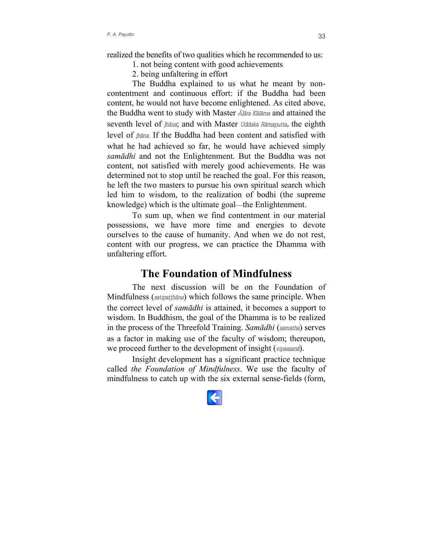<span id="page-34-0"></span>realized the benefits of two qualities which he recommended to us:

1. not being content with good achievements

2. being unfaltering in effort

The Buddha explained to us what he meant by noncontentment and continuous effort: if the Buddha had been content, he would not have become enlightened. As cited above, the Buddha went to study with Master *Āḷāra Kālāma* and attained the seventh level of *jhāna*; and with Master *Uddaka Rāmaputta,* the eighth level of *jhāna.* If the Buddha had been content and satisfied with what he had achieved so far, he would have achieved simply *samādhi* and not the Enlightenment. But the Buddha was not content, not satisfied with merely good achievements. He was determined not to stop until he reached the goal. For this reason, he left the two masters to pursue his own spiritual search which led him to wisdom, to the realization of bodhi (the supreme knowledge) which is the ultimate goal—the Enlightenment.

To sum up, when we find contentment in our material possessions, we have more time and energies to devote ourselves to the cause of humanity. And when we do not rest, content with our progress, we can practice the Dhamma with unfaltering effort.

# **The Foundation of Mindfulness**

The next discussion will be on the Foundation of Mindfulness (*satipaṭṭhāna*) which follows the same principle. When the correct level of *samādhi* is attained, it becomes a support to wisdom. In Buddhism, the goal of the Dhamma is to be realized in the process of the Threefold Training. *Samādhi* (*samatha*) serves as a factor in making use of the faculty of wisdom; thereupon, we proceed further to the development of insight (*vipassanā*).

Insight development has a significant practice technique called *the Foundation of Mindfulness*. We use the faculty of mindfulness to catch up with the six external sense-fields (form,

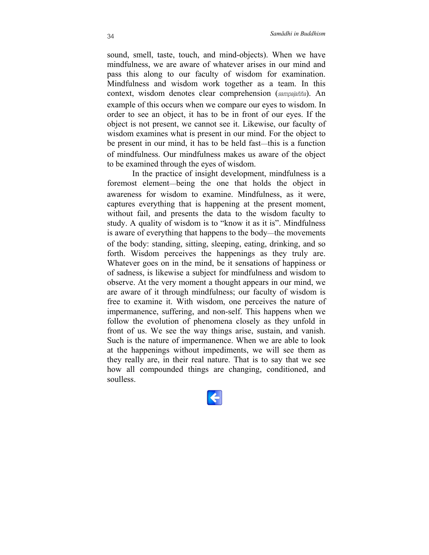sound, smell, taste, touch, and mind-objects). When we have mindfulness, we are aware of whatever arises in our mind and pass this along to our faculty of wisdom for examination. Mindfulness and wisdom work together as a team. In this context, wisdom denotes clear comprehension (*sampajañña*). An example of this occurs when we compare our eyes to wisdom. In order to see an object, it has to be in front of our eyes. If the object is not present, we cannot see it. Likewise, our faculty of wisdom examines what is present in our mind. For the object to be present in our mind, it has to be held fast—this is a function of mindfulness. Our mindfulness makes us aware of the object to be examined through the eyes of wisdom.

In the practice of insight development, mindfulness is a foremost element—being the one that holds the object in awareness for wisdom to examine. Mindfulness, as it were, captures everything that is happening at the present moment, without fail, and presents the data to the wisdom faculty to study. A quality of wisdom is to "know it as it is". Mindfulness is aware of everything that happens to the body—the movements of the body: standing, sitting, sleeping, eating, drinking, and so forth. Wisdom perceives the happenings as they truly are. Whatever goes on in the mind, be it sensations of happiness or of sadness, is likewise a subject for mindfulness and wisdom to observe. At the very moment a thought appears in our mind, we are aware of it through mindfulness; our faculty of wisdom is free to examine it. With wisdom, one perceives the nature of impermanence, suffering, and non-self. This happens when we follow the evolution of phenomena closely as they unfold in front of us. We see the way things arise, sustain, and vanish. Such is the nature of impermanence. When we are able to look at the happenings without impediments, we will see them as they really are, in their real nature. That is to say that we see how all compounded things are changing, conditioned, and soulless.

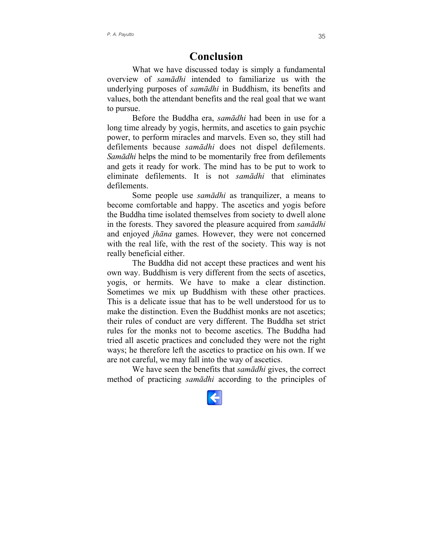### **Conclusion**

<span id="page-36-0"></span>What we have discussed today is simply a fundamental overview of *samādhi* intended to familiarize us with the underlying purposes of *samādhi* in Buddhism, its benefits and values, both the attendant benefits and the real goal that we want to pursue.

Before the Buddha era, *samādhi* had been in use for a long time already by yogis, hermits, and ascetics to gain psychic power, to perform miracles and marvels. Even so, they still had defilements because *samādhi* does not dispel defilements. *Samādhi* helps the mind to be momentarily free from defilements and gets it ready for work. The mind has to be put to work to eliminate defilements. It is not *samādhi* that eliminates defilements.

Some people use *samādhi* as tranquilizer, a means to become comfortable and happy. The ascetics and yogis before the Buddha time isolated themselves from society to dwell alone in the forests. They savored the pleasure acquired from *samādhi* and enjoyed *jhāna* games. However, they were not concerned with the real life, with the rest of the society. This way is not really beneficial either.

The Buddha did not accept these practices and went his own way. Buddhism is very different from the sects of ascetics, yogis, or hermits. We have to make a clear distinction. Sometimes we mix up Buddhism with these other practices. This is a delicate issue that has to be well understood for us to make the distinction. Even the Buddhist monks are not ascetics: their rules of conduct are very different. The Buddha set strict rules for the monks not to become ascetics. The Buddha had tried all ascetic practices and concluded they were not the right ways; he therefore left the ascetics to practice on his own. If we are not careful, we may fall into the way of ascetics.

We have seen the benefits that *samādhi* gives, the correct method of practicing *samādhi* according to the principles of

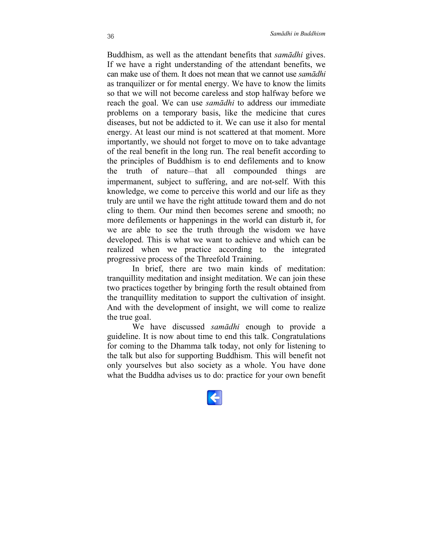Buddhism, as well as the attendant benefits that *samādhi* gives. If we have a right understanding of the attendant benefits, we can make use of them. It does not mean that we cannot use *samādhi* as tranquilizer or for mental energy. We have to know the limits so that we will not become careless and stop halfway before we reach the goal. We can use *samādhi* to address our immediate problems on a temporary basis, like the medicine that cures diseases, but not be addicted to it. We can use it also for mental energy. At least our mind is not scattered at that moment. More importantly, we should not forget to move on to take advantage of the real benefit in the long run. The real benefit according to the principles of Buddhism is to end defilements and to know the truth of nature—that all compounded things are impermanent, subject to suffering, and are not-self. With this knowledge, we come to perceive this world and our life as they truly are until we have the right attitude toward them and do not cling to them. Our mind then becomes serene and smooth; no more defilements or happenings in the world can disturb it, for we are able to see the truth through the wisdom we have developed. This is what we want to achieve and which can be realized when we practice according to the integrated progressive process of the Threefold Training.

In brief, there are two main kinds of meditation: tranquillity meditation and insight meditation. We can join these two practices together by bringing forth the result obtained from the tranquillity meditation to support the cultivation of insight. And with the development of insight, we will come to realize the true goal.

We have discussed *samādhi* enough to provide a guideline. It is now about time to end this talk. Congratulations for coming to the Dhamma talk today, not only for listening to the talk but also for supporting Buddhism. This will benefit not only yourselves but also society as a whole. You have done what the Buddha advises us to do: practice for your own benefit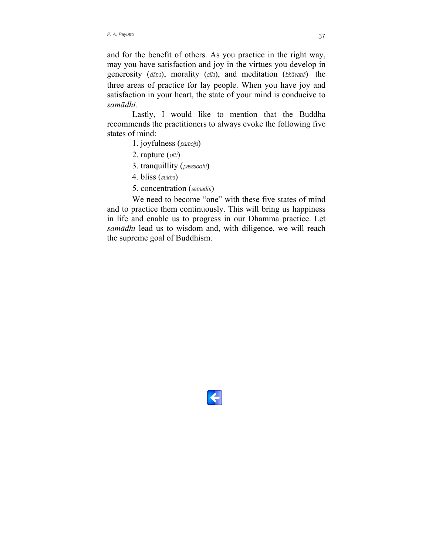and for the benefit of others. As you practice in the right way, may you have satisfaction and joy in the virtues you develop in generosity (*dāna*), morality (*sīla*), and meditation (*bhāvanā*)—the three areas of practice for lay people. When you have joy and satisfaction in your heart, the state of your mind is conducive to *samādhi.*

Lastly, I would like to mention that the Buddha recommends the practitioners to always evoke the following five states of mind:

- 1. joyfulness (*pāmojja*)
- 2. rapture (*pīti*)
- 3. tranquillity (*passaddhi*)
- 4. bliss (*sukha*)
- 5. concentration (*samādhi*)

We need to become "one" with these five states of mind and to practice them continuously. This will bring us happiness in life and enable us to progress in our Dhamma practice. Let *samādhi* lead us to wisdom and, with diligence, we will reach the supreme goal of Buddhism.

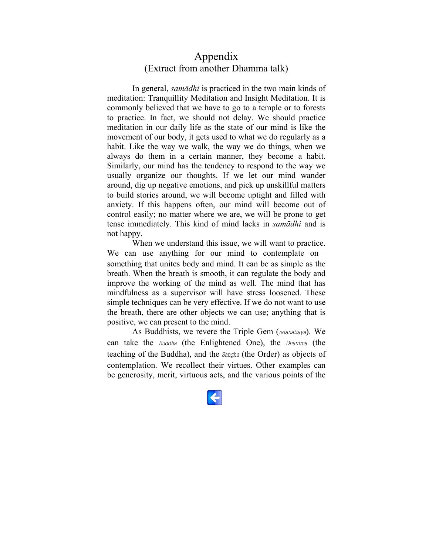### <span id="page-39-0"></span>Appendix (Extract from another Dhamma talk)

In general, *samādhi* is practiced in the two main kinds of meditation: Tranquillity Meditation and Insight Meditation. It is commonly believed that we have to go to a temple or to forests to practice. In fact, we should not delay. We should practice meditation in our daily life as the state of our mind is like the movement of our body, it gets used to what we do regularly as a habit. Like the way we walk, the way we do things, when we always do them in a certain manner, they become a habit. Similarly, our mind has the tendency to respond to the way we usually organize our thoughts. If we let our mind wander around, dig up negative emotions, and pick up unskillful matters to build stories around, we will become uptight and filled with anxiety. If this happens often, our mind will become out of control easily; no matter where we are, we will be prone to get tense immediately. This kind of mind lacks in *samādhi* and is not happy.

When we understand this issue, we will want to practice. We can use anything for our mind to contemplate on something that unites body and mind. It can be as simple as the breath. When the breath is smooth, it can regulate the body and improve the working of the mind as well. The mind that has mindfulness as a supervisor will have stress loosened. These simple techniques can be very effective. If we do not want to use the breath, there are other objects we can use; anything that is positive, we can present to the mind.

As Buddhists, we revere the Triple Gem (*ratanattaya*). We can take the *Buddha* (the Enlightened One), the *Dhamma* (the teaching of the Buddha), and the *Saṅgha* (the Order) as objects of contemplation. We recollect their virtues. Other examples can be generosity, merit, virtuous acts, and the various points of the